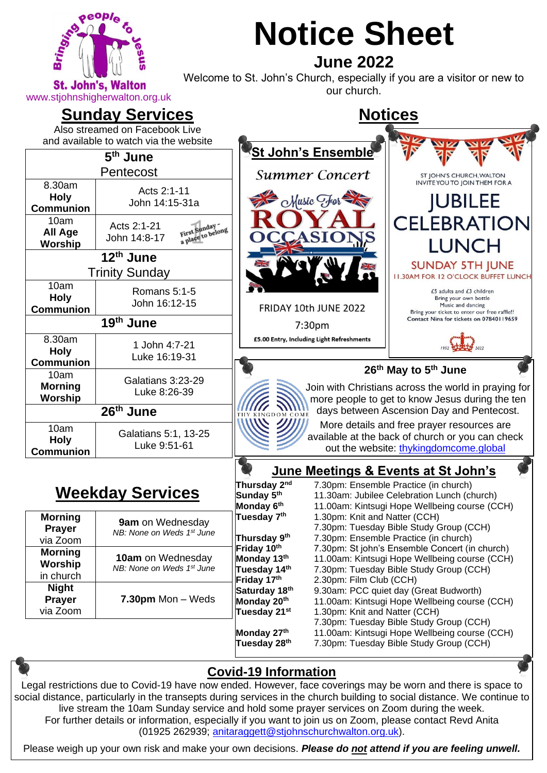

# **Notice Sheet June 2022**

Welcome to St. John's Church, especially if you are a visitor or new to **St. John's, Walton** webcome to be born a britanch, especially<br>our church.

**Notices**

### **Sunday Services**

Also streamed on Facebook Live and available to watch via the website

| 5 <sup>th</sup> June                      |                                                                  | 'St John's <u>Ensemble</u>                                                                                                                              |                                                                                                                           |  |
|-------------------------------------------|------------------------------------------------------------------|---------------------------------------------------------------------------------------------------------------------------------------------------------|---------------------------------------------------------------------------------------------------------------------------|--|
| Pentecost                                 |                                                                  | <b>Summer Concert</b>                                                                                                                                   | ST JOHN'S CHURCH, WALTON                                                                                                  |  |
| 8.30am<br><b>Holy</b><br><b>Communion</b> | Acts 2:1-11<br>John 14:15-31a                                    | $M$ usic $H$ or                                                                                                                                         | <b>INVITE YOU TO JOIN THEM FOR A</b><br><b>JUBILEE</b>                                                                    |  |
| 10am<br>All Age<br>Worship                | Acts 2:1-21<br>First Sunday<br>a place to belong<br>John 14:8-17 |                                                                                                                                                         | <b>CELEBRATION</b><br><b>LUNCH</b>                                                                                        |  |
| 12th June<br><b>Trinity Sunday</b>        |                                                                  | XK                                                                                                                                                      | <b>SUNDAY 5TH JUNE</b><br><b>II.30AM FOR 12 O'CLOCK BUFFET LUNCH</b>                                                      |  |
| 10am<br><b>Holy</b><br><b>Communion</b>   | Romans 5:1-5<br>John 16:12-15                                    | FRIDAY 10th JUNE 2022                                                                                                                                   | £5 adults and $£3$ children<br>Bring your own bottle<br>Music and dancing<br>Bring your ticket to enter our free raffle!! |  |
| 19th June                                 |                                                                  | 7:30pm                                                                                                                                                  | Contact Nina for tickets on 07840119659                                                                                   |  |
| 8.30am<br><b>Holy</b><br><b>Communion</b> | 1 John 4:7-21<br>Luke 16:19-31                                   | £5.00 Entry, Including Light Refreshments                                                                                                               |                                                                                                                           |  |
| 10am<br><b>Morning</b><br>Worship         | Galatians 3:23-29<br>Luke 8:26-39                                | 26 <sup>th</sup> May to 5 <sup>th</sup> June<br>Join with Christians across the world in praying for<br>more people to get to know Jesus during the ten |                                                                                                                           |  |
| 26th June                                 |                                                                  | days between Ascension Day and Pentecost.<br>DOM COME                                                                                                   |                                                                                                                           |  |
| 10am<br><b>Holy</b><br><b>Communion</b>   | Galatians 5:1, 13-25<br>Luke 9:51-61                             | More details and free prayer resources are<br>available at the back of church or you can check<br>out the website: thykingdomcome.global                |                                                                                                                           |  |
|                                           |                                                                  | June Meetings & Events at St John's                                                                                                                     |                                                                                                                           |  |

# **Weekday Services**

| <b>Morning</b><br><b>Prayer</b><br>via Zoom   | 9am on Wednesday<br>NB: None on Weds 1st June         |
|-----------------------------------------------|-------------------------------------------------------|
| <b>Morning</b><br><b>Worship</b><br>in church | <b>10am</b> on Wednesday<br>NB: None on Weds 1st June |
| <b>Night</b><br><b>Prayer</b><br>via Zoom     | 7.30pm Mon - Weds                                     |

|                           | June Meetings & Events at St John's            |
|---------------------------|------------------------------------------------|
| Thursday 2 <sup>nd</sup>  | 7.30pm: Ensemble Practice (in church)          |
| Sunday 5 <sup>th</sup>    | 11.30am: Jubilee Celebration Lunch (church)    |
| Monday 6 <sup>th</sup>    | 11.00am: Kintsugi Hope Wellbeing course (CCH)  |
| Tuesday 7 <sup>th</sup>   | 1.30pm: Knit and Natter (CCH)                  |
|                           | 7.30pm: Tuesday Bible Study Group (CCH)        |
| Thursday 9th              | 7.30pm: Ensemble Practice (in church)          |
| Friday 10th               | 7.30pm: St john's Ensemble Concert (in church) |
| Monday 13th               | 11.00am: Kintsugi Hope Wellbeing course (CCH)  |
| Tuesday 14 <sup>th</sup>  | 7.30pm: Tuesday Bible Study Group (CCH)        |
| Friday 17th               | 2.30pm: Film Club (CCH)                        |
| Saturday 18 <sup>th</sup> | 9.30am: PCC quiet day (Great Budworth)         |
| Monday 20 <sup>th</sup>   | 11.00am: Kintsugi Hope Wellbeing course (CCH)  |
| Tuesday 21 <sup>st</sup>  | 1.30pm: Knit and Natter (CCH)                  |
|                           | 7.30pm: Tuesday Bible Study Group (CCH)        |
| Monday 27th               | 11.00am: Kintsugi Hope Wellbeing course (CCH)  |
| Tuesday 28 <sup>th</sup>  | 7.30pm: Tuesday Bible Study Group (CCH)        |



Please weigh up your own risk and make your own decisions. *Please do not attend if you are feeling unwell.*